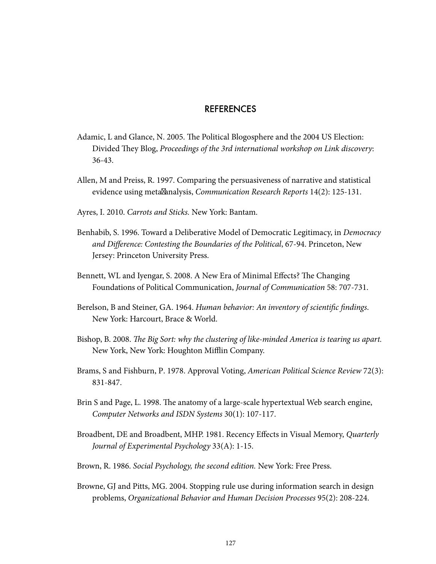## REFERENCES

- Adamic, L and Glance, N. 2005. The Political Blogosphere and the 2004 US Election: Divided They Blog, Proceedings of the 3rd international workshop on Link discovery: 36-43.
- Allen, M and Preiss, R. 1997. Comparing the persuasiveness of narrative and statistical evidence using meta analysis, Communication Research Reports 14(2): 125-131.
- Ayres, I. 2010. Carrots and Sticks. New York: Bantam.
- Benhabib, S. 1996. Toward a Deliberative Model of Democratic Legitimacy, in Democracy and Difference: Contesting the Boundaries of the Political, 67-94. Princeton, New Jersey: Princeton University Press.
- Bennett, WL and Iyengar, S. 2008. A New Era of Minimal Effects? The Changing Foundations of Political Communication, Journal of Communication 58: 707-731.
- Berelson, B and Steiner, GA. 1964. Human behavior: An inventory of scientific findings. New York: Harcourt, Brace & World.
- Bishop, B. 2008. The Big Sort: why the clustering of like-minded America is tearing us apart. New York, New York: Houghton Mifflin Company.
- Brams, S and Fishburn, P. 1978. Approval Voting, American Political Science Review 72(3): 831-847.
- Brin S and Page, L. 1998. The anatomy of a large-scale hypertextual Web search engine, Computer Networks and ISDN Systems 30(1): 107-117.
- Broadbent, DE and Broadbent, MHP. 1981. Recency Effects in Visual Memory, Quarterly Journal of Experimental Psychology 33(A): 1-15.
- Brown, R. 1986. Social Psychology, the second edition. New York: Free Press.
- Browne, GJ and Pitts, MG. 2004. Stopping rule use during information search in design problems, Organizational Behavior and Human Decision Processes 95(2): 208-224.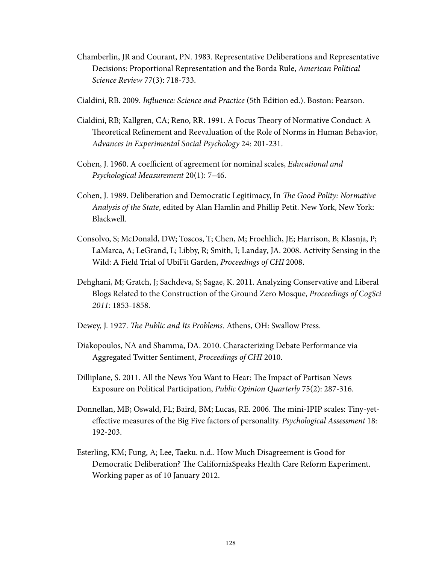- Chamberlin, JR and Courant, PN. 1983. Representative Deliberations and Representative Decisions: Proportional Representation and the Borda Rule, American Political Science Review 77(3): 718-733.
- Cialdini, RB. 2009. Influence: Science and Practice (5th Edition ed.). Boston: Pearson.
- Cialdini, RB; Kallgren, CA; Reno, RR. 1991. A Focus Theory of Normative Conduct: A Theoretical Refinement and Reevaluation of the Role of Norms in Human Behavior, Advances in Experimental Social Psychology 24: 201-231.
- Cohen, J. 1960. A coefficient of agreement for nominal scales, Educational and Psychological Measurement 20(1): 7–46.
- Cohen, J. 1989. Deliberation and Democratic Legitimacy, In The Good Polity: Normative Analysis of the State, edited by Alan Hamlin and Phillip Petit. New York, New York: Blackwell.
- Consolvo, S; McDonald, DW; Toscos, T; Chen, M; Froehlich, JE; Harrison, B; Klasnja, P; LaMarca, A; LeGrand, L; Libby, R; Smith, I; Landay, JA. 2008. Activity Sensing in the Wild: A Field Trial of UbiFit Garden, Proceedings of CHI 2008.
- Dehghani, M; Gratch, J; Sachdeva, S; Sagae, K. 2011. Analyzing Conservative and Liberal Blogs Related to the Construction of the Ground Zero Mosque, Proceedings of CogSci 2011: 1853-1858.
- Dewey, J. 1927. The Public and Its Problems. Athens, OH: Swallow Press.
- Diakopoulos, NA and Shamma, DA. 2010. Characterizing Debate Performance via Aggregated Twitter Sentiment, Proceedings of CHI 2010.
- Dilliplane, S. 2011. All the News You Want to Hear: The Impact of Partisan News Exposure on Political Participation, Public Opinion Quarterly 75(2): 287-316.
- Donnellan, MB; Oswald, FL; Baird, BM; Lucas, RE. 2006. The mini-IPIP scales: Tiny-yeteffective measures of the Big Five factors of personality. Psychological Assessment 18: 192-203.
- Esterling, KM; Fung, A; Lee, Taeku. n.d.. How Much Disagreement is Good for Democratic Deliberation? The CaliforniaSpeaks Health Care Reform Experiment. Working paper as of 10 January 2012.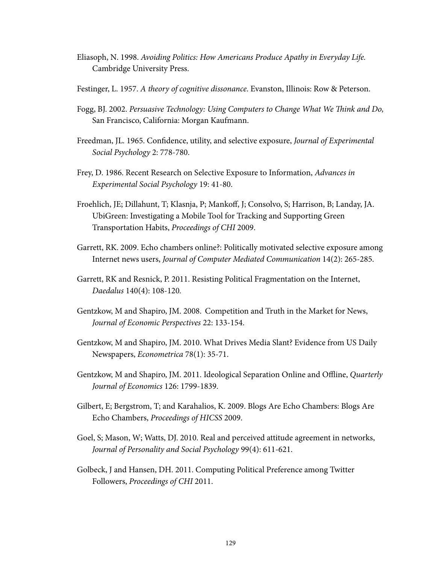- Eliasoph, N. 1998. Avoiding Politics: How Americans Produce Apathy in Everyday Life. Cambridge University Press.
- Festinger, L. 1957. A theory of cognitive dissonance. Evanston, Illinois: Row & Peterson.
- Fogg, BJ. 2002. Persuasive Technology: Using Computers to Change What We Think and Do, San Francisco, California: Morgan Kaufmann.
- Freedman, JL. 1965. Confidence, utility, and selective exposure, *Journal of Experimental* Social Psychology 2: 778-780.
- Frey, D. 1986. Recent Research on Selective Exposure to Information, Advances in Experimental Social Psychology 19: 41-80.
- Froehlich, JE; Dillahunt, T; Klasnja, P; Manko", J; Consolvo, S; Harrison, B; Landay, JA. UbiGreen: Investigating a Mobile Tool for Tracking and Supporting Green Transportation Habits, Proceedings of CHI 2009.
- Garrett, RK. 2009. Echo chambers online?: Politically motivated selective exposure among Internet news users, Journal of Computer Mediated Communication 14(2): 265-285.
- Garrett, RK and Resnick, P. 2011. Resisting Political Fragmentation on the Internet, Daedalus 140(4): 108-120.
- Gentzkow, M and Shapiro, JM. 2008. Competition and Truth in the Market for News, Journal of Economic Perspectives 22: 133-154.
- Gentzkow, M and Shapiro, JM. 2010. What Drives Media Slant? Evidence from US Daily Newspapers, Econometrica 78(1): 35-71.
- Gentzkow, M and Shapiro, JM. 2011. Ideological Separation Online and Offline, Quarterly Journal of Economics 126: 1799-1839.
- Gilbert, E; Bergstrom, T; and Karahalios, K. 2009. Blogs Are Echo Chambers: Blogs Are Echo Chambers, Proceedings of HICSS 2009.
- Goel, S; Mason, W; Watts, DJ. 2010. Real and perceived attitude agreement in networks, Journal of Personality and Social Psychology 99(4): 611-621.
- Golbeck, J and Hansen, DH. 2011. Computing Political Preference among Twitter Followers, Proceedings of CHI 2011.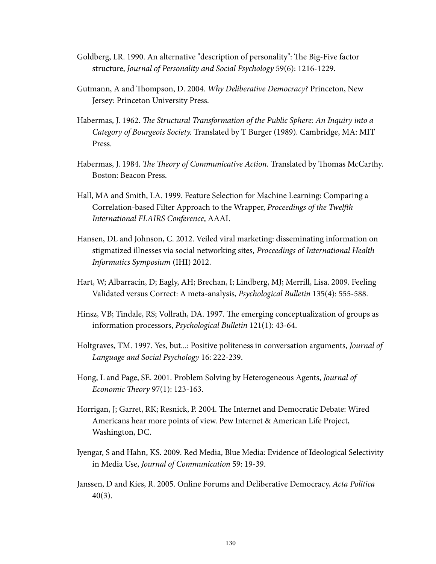- Goldberg, LR. 1990. An alternative "description of personality": The Big-Five factor structure, Journal of Personality and Social Psychology 59(6): 1216-1229.
- Gutmann, A and Thompson, D. 2004. Why Deliberative Democracy? Princeton, New Jersey: Princeton University Press.
- Habermas, J. 1962. The Structural Transformation of the Public Sphere: An Inquiry into a Category of Bourgeois Society. Translated by T Burger (1989). Cambridge, MA: MIT Press.
- Habermas, J. 1984. The Theory of Communicative Action. Translated by Thomas McCarthy. Boston: Beacon Press.
- Hall, MA and Smith, LA. 1999. Feature Selection for Machine Learning: Comparing a Correlation-based Filter Approach to the Wrapper, Proceedings of the Twelfth International FLAIRS Conference, AAAI.
- Hansen, DL and Johnson, C. 2012. Veiled viral marketing: disseminating information on stigmatized illnesses via social networking sites, Proceedings of International Health Informatics Symposium (IHI) 2012.
- Hart, W; Albarracín, D; Eagly, AH; Brechan, I; Lindberg, MJ; Merrill, Lisa. 2009. Feeling Validated versus Correct: A meta-analysis, Psychological Bulletin 135(4): 555-588.
- Hinsz, VB; Tindale, RS; Vollrath, DA. 1997. The emerging conceptualization of groups as information processors, Psychological Bulletin 121(1): 43-64.
- Holtgraves, TM. 1997. Yes, but...: Positive politeness in conversation arguments, *Journal of* Language and Social Psychology 16: 222-239.
- Hong, L and Page, SE. 2001. Problem Solving by Heterogeneous Agents, Journal of Economic Theory 97 $(1)$ : 123-163.
- Horrigan, J; Garret, RK; Resnick, P. 2004. The Internet and Democratic Debate: Wired Americans hear more points of view. Pew Internet & American Life Project, Washington, DC.
- Iyengar, S and Hahn, KS. 2009. Red Media, Blue Media: Evidence of Ideological Selectivity in Media Use, Journal of Communication 59: 19-39.
- Janssen, D and Kies, R. 2005. Online Forums and Deliberative Democracy, Acta Politica 40(3).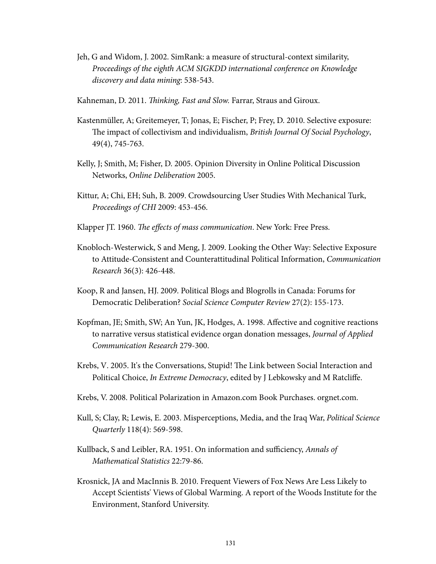- Jeh, G and Widom, J. 2002. SimRank: a measure of structural-context similarity, Proceedings of the eighth ACM SIGKDD international conference on Knowledge discovery and data mining: 538-543.
- Kahneman, D. 2011. *Thinking, Fast and Slow.* Farrar, Straus and Giroux.
- Kastenmüller, A; Greitemeyer, T; Jonas, E; Fischer, P; Frey, D. 2010. Selective exposure: The impact of collectivism and individualism, British Journal Of Social Psychology, 49(4), 745-763.
- Kelly, J; Smith, M; Fisher, D. 2005. Opinion Diversity in Online Political Discussion Networks, Online Deliberation 2005.
- Kittur, A; Chi, EH; Suh, B. 2009. Crowdsourcing User Studies With Mechanical Turk, Proceedings of CHI 2009: 453-456.
- Klapper JT. 1960. The effects of mass communication. New York: Free Press.
- Knobloch-Westerwick, S and Meng, J. 2009. Looking the Other Way: Selective Exposure to Attitude-Consistent and Counterattitudinal Political Information, Communication Research 36(3): 426-448.
- Koop, R and Jansen, HJ. 2009. Political Blogs and Blogrolls in Canada: Forums for Democratic Deliberation? Social Science Computer Review 27(2): 155-173.
- Kopfman, JE; Smith, SW; An Yun, JK, Hodges, A. 1998. Affective and cognitive reactions to narrative versus statistical evidence organ donation messages, Journal of Applied Communication Research 279-300.
- Krebs, V. 2005. It's the Conversations, Stupid! The Link between Social Interaction and Political Choice, In Extreme Democracy, edited by J Lebkowsky and M Ratcliffe.
- Krebs, V. 2008. Political Polarization in Amazon.com Book Purchases. orgnet.com.
- Kull, S; Clay, R; Lewis, E. 2003. Misperceptions, Media, and the Iraq War, Political Science Quarterly 118(4): 569-598.
- Kullback, S and Leibler, RA. 1951. On information and sufficiency, Annals of Mathematical Statistics 22:79-86.
- Krosnick, JA and MacInnis B. 2010. Frequent Viewers of Fox News Are Less Likely to Accept Scientists' Views of Global Warming. A report of the Woods Institute for the Environment, Stanford University.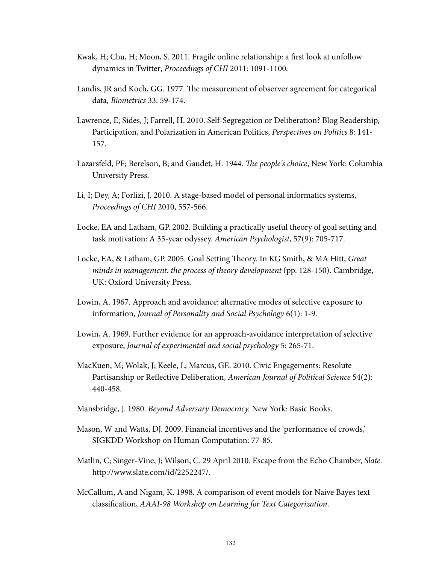- Kwak, H; Chu, H; Moon, S. 2011. Fragile online relationship: a first look at unfollow dynamics in Twitter, Proceedings of CHI 2011: 1091-1100.
- Landis, JR and Koch, GG. 1977. The measurement of observer agreement for categorical data, Biometrics 33: 59-174.
- Lawrence, E; Sides, J; Farrell, H. 2010. Self-Segregation or Deliberation? Blog Readership, Participation, and Polarization in American Politics, Perspectives on Politics 8: 141- 157.
- Lazarsfeld, PF; Berelson, B; and Gaudet, H. 1944. The people's choice, New York: Columbia University Press.
- Li, I; Dey, A; Forlizi, J. 2010. A stage-based model of personal informatics systems, Proceedings of CHI 2010, 557-566.
- Locke, EA and Latham, GP. 2002. Building a practically useful theory of goal setting and task motivation: A 35-year odyssey. American Psychologist, 57(9): 705-717.
- Locke, EA, & Latham, GP. 2005. Goal Setting Theory. In KG Smith, & MA Hitt, Great minds in management: the process of theory development (pp. 128-150). Cambridge, UK: Oxford University Press.
- Lowin, A. 1967. Approach and avoidance: alternative modes of selective exposure to information, Journal of Personality and Social Psychology 6(1): 1-9.
- Lowin, A. 1969. Further evidence for an approach-avoidance interpretation of selective exposure, Journal of experimental and social psychology 5: 265-71.
- MacKuen, M; Wolak, J; Keele, L; Marcus, GE. 2010. Civic Engagements: Resolute Partisanship or Reflective Deliberation, American Journal of Political Science 54(2): 440-458.
- Mansbridge, J. 1980. Beyond Adversary Democracy. New York: Basic Books.
- Mason, W and Watts, DJ. 2009. Financial incentives and the 'performance of crowds,' SIGKDD Workshop on Human Computation: 77-85.
- Matlin, C; Singer-Vine, J; Wilson, C. 29 April 2010. Escape from the Echo Chamber, Slate. http://www.slate.com/id/2252247/.
- McCallum, A and Nigam, K. 1998. A comparison of event models for Naive Bayes text classification, AAAI-98 Workshop on Learning for Text Categorization.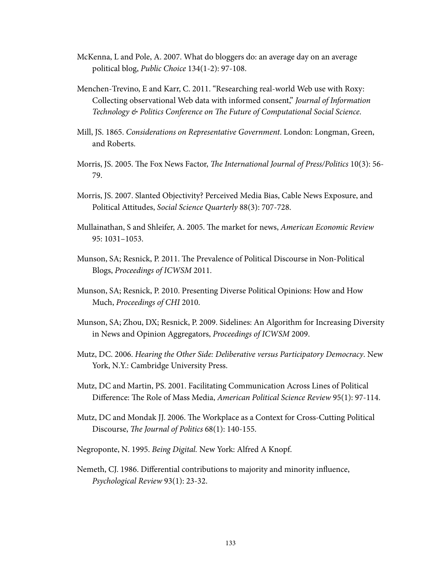- McKenna, L and Pole, A. 2007. What do bloggers do: an average day on an average political blog, Public Choice 134(1-2): 97-108.
- Menchen-Trevino, E and Karr, C. 2011. "Researching real-world Web use with Roxy: Collecting observational Web data with informed consent," Journal of Information Technology & Politics Conference on The Future of Computational Social Science.
- Mill, JS. 1865. Considerations on Representative Government. London: Longman, Green, and Roberts.
- Morris, JS. 2005. The Fox News Factor, The International Journal of Press/Politics 10(3): 56-79.
- Morris, JS. 2007. Slanted Objectivity? Perceived Media Bias, Cable News Exposure, and Political Attitudes, Social Science Quarterly 88(3): 707-728.
- Mullainathan, S and Shleifer, A. 2005. The market for news, American Economic Review 95: 1031–1053.
- Munson, SA; Resnick, P. 2011. The Prevalence of Political Discourse in Non-Political Blogs, Proceedings of ICWSM 2011.
- Munson, SA; Resnick, P. 2010. Presenting Diverse Political Opinions: How and How Much, Proceedings of CHI 2010.
- Munson, SA; Zhou, DX; Resnick, P. 2009. Sidelines: An Algorithm for Increasing Diversity in News and Opinion Aggregators, Proceedings of ICWSM 2009.
- Mutz, DC. 2006. Hearing the Other Side: Deliberative versus Participatory Democracy. New York, N.Y.: Cambridge University Press.
- Mutz, DC and Martin, PS. 2001. Facilitating Communication Across Lines of Political Difference: The Role of Mass Media, American Political Science Review 95(1): 97-114.
- Mutz, DC and Mondak JJ. 2006. The Workplace as a Context for Cross-Cutting Political Discourse, The Journal of Politics  $68(1)$ : 140-155.
- Negroponte, N. 1995. Being Digital. New York: Alfred A Knopf.
- Nemeth, CJ. 1986. Differential contributions to majority and minority influence, Psychological Review 93(1): 23-32.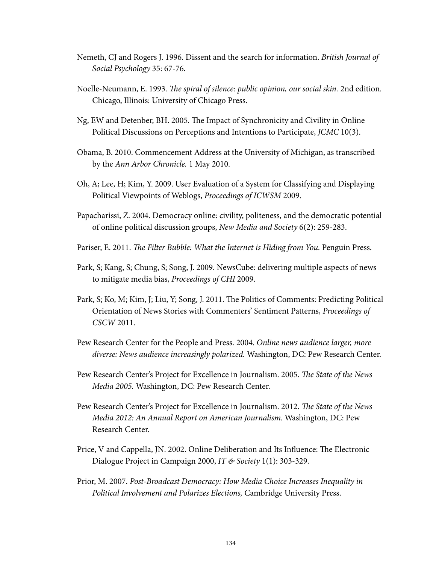- Nemeth, CJ and Rogers J. 1996. Dissent and the search for information. British Journal of Social Psychology 35: 67-76.
- Noelle-Neumann, E. 1993. The spiral of silence: public opinion, our social skin. 2nd edition. Chicago, Illinois: University of Chicago Press.
- Ng, EW and Detenber, BH. 2005. The Impact of Synchronicity and Civility in Online Political Discussions on Perceptions and Intentions to Participate, JCMC 10(3).
- Obama, B. 2010. Commencement Address at the University of Michigan, as transcribed by the Ann Arbor Chronicle. 1 May 2010.
- Oh, A; Lee, H; Kim, Y. 2009. User Evaluation of a System for Classifying and Displaying Political Viewpoints of Weblogs, Proceedings of ICWSM 2009.
- Papacharissi, Z. 2004. Democracy online: civility, politeness, and the democratic potential of online political discussion groups, New Media and Society 6(2): 259-283.
- Pariser, E. 2011. The Filter Bubble: What the Internet is Hiding from You. Penguin Press.
- Park, S; Kang, S; Chung, S; Song, J. 2009. NewsCube: delivering multiple aspects of news to mitigate media bias, Proceedings of CHI 2009.
- Park, S; Ko, M; Kim, J; Liu, Y; Song, J. 2011. The Politics of Comments: Predicting Political Orientation of News Stories with Commenters' Sentiment Patterns, Proceedings of CSCW 2011.
- Pew Research Center for the People and Press. 2004. Online news audience larger, more diverse: News audience increasingly polarized. Washington, DC: Pew Research Center.
- Pew Research Center's Project for Excellence in Journalism. 2005. The State of the News Media 2005. Washington, DC: Pew Research Center.
- Pew Research Center's Project for Excellence in Journalism. 2012. The State of the News Media 2012: An Annual Report on American Journalism. Washington, DC: Pew Research Center.
- Price, V and Cappella, JN. 2002. Online Deliberation and Its Influence: The Electronic Dialogue Project in Campaign 2000, IT & Society 1(1): 303-329.
- Prior, M. 2007. Post-Broadcast Democracy: How Media Choice Increases Inequality in Political Involvement and Polarizes Elections, Cambridge University Press.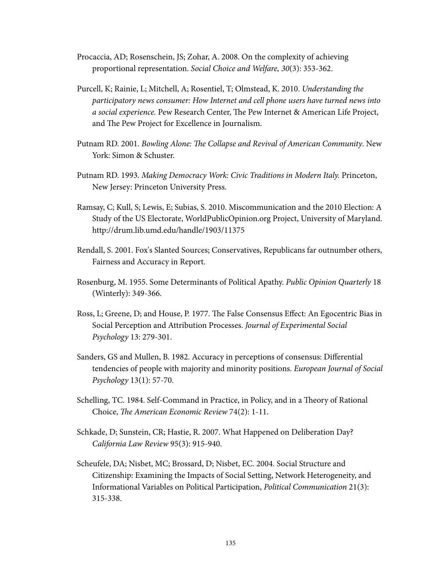- Procaccia, AD; Rosenschein, JS; Zohar, A. 2008. On the complexity of achieving proportional representation. Social Choice and Welfare, 30(3): 353-362.
- Purcell, K; Rainie, L; Mitchell, A; Rosentiel, T; Olmstead, K. 2010. Understanding the participatory news consumer: How Internet and cell phone users have turned news into a social experience. Pew Research Center, The Pew Internet & American Life Project, and The Pew Project for Excellence in Journalism.
- Putnam RD. 2001. Bowling Alone: The Collapse and Revival of American Community. New York: Simon & Schuster.
- Putnam RD. 1993. Making Democracy Work: Civic Traditions in Modern Italy. Princeton, New Jersey: Princeton University Press.
- Ramsay, C; Kull, S; Lewis, E; Subias, S. 2010. Miscommunication and the 2010 Election: A Study of the US Electorate, WorldPublicOpinion.org Project, University of Maryland. http://drum.lib.umd.edu/handle/1903/11375
- Rendall, S. 2001. Fox's Slanted Sources; Conservatives, Republicans far outnumber others, Fairness and Accuracy in Report.
- Rosenburg, M. 1955. Some Determinants of Political Apathy. Public Opinion Quarterly 18 (Winterly): 349-366.
- Ross, L; Greene, D; and House, P. 1977. The False Consensus Effect: An Egocentric Bias in Social Perception and Attribution Processes. Journal of Experimental Social Psychology 13: 279-301.
- Sanders, GS and Mullen, B. 1982. Accuracy in perceptions of consensus: Differential tendencies of people with majority and minority positions. European Journal of Social Psychology 13(1): 57-70.
- Schelling, TC. 1984. Self-Command in Practice, in Policy, and in a Theory of Rational Choice, The American Economic Review 74(2):  $1-11$ .
- Schkade, D; Sunstein, CR; Hastie, R. 2007. What Happened on Deliberation Day? California Law Review 95(3): 915-940.
- Scheufele, DA; Nisbet, MC; Brossard, D; Nisbet, EC. 2004. Social Structure and Citizenship: Examining the Impacts of Social Setting, Network Heterogeneity, and Informational Variables on Political Participation, Political Communication 21(3): 315-338.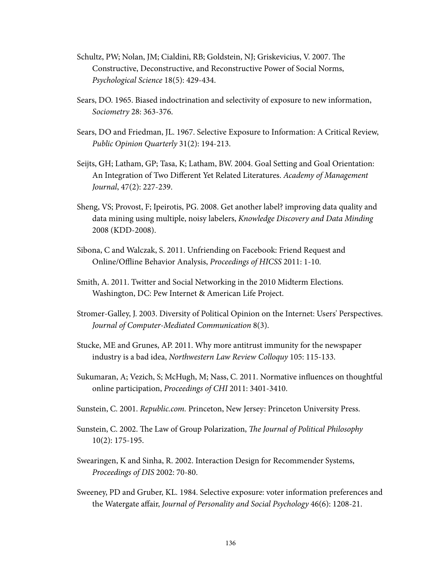- Schultz, PW; Nolan, JM; Cialdini, RB; Goldstein, NJ; Griskevicius, V. 2007. The Constructive, Deconstructive, and Reconstructive Power of Social Norms, Psychological Science 18(5): 429-434.
- Sears, DO. 1965. Biased indoctrination and selectivity of exposure to new information, Sociometry 28: 363-376.
- Sears, DO and Friedman, JL. 1967. Selective Exposure to Information: A Critical Review, Public Opinion Quarterly 31(2): 194-213.
- Seijts, GH; Latham, GP; Tasa, K; Latham, BW. 2004. Goal Setting and Goal Orientation: An Integration of Two Different Yet Related Literatures. Academy of Management Journal, 47(2): 227-239.
- Sheng, VS; Provost, F; Ipeirotis, PG. 2008. Get another label? improving data quality and data mining using multiple, noisy labelers, Knowledge Discovery and Data Minding 2008 (KDD-2008).
- Sibona, C and Walczak, S. 2011. Unfriending on Facebook: Friend Request and Online/Offline Behavior Analysis, Proceedings of HICSS 2011: 1-10.
- Smith, A. 2011. Twitter and Social Networking in the 2010 Midterm Elections. Washington, DC: Pew Internet & American Life Project.
- Stromer-Galley, J. 2003. Diversity of Political Opinion on the Internet: Users' Perspectives. Journal of Computer-Mediated Communication 8(3).
- Stucke, ME and Grunes, AP. 2011. Why more antitrust immunity for the newspaper industry is a bad idea, Northwestern Law Review Colloquy 105: 115-133.
- Sukumaran, A; Vezich, S; McHugh, M; Nass, C. 2011. Normative influences on thoughtful online participation, Proceedings of CHI 2011: 3401-3410.
- Sunstein, C. 2001. Republic.com. Princeton, New Jersey: Princeton University Press.
- Sunstein, C. 2002. The Law of Group Polarization, The Journal of Political Philosophy 10(2): 175-195.
- Swearingen, K and Sinha, R. 2002. Interaction Design for Recommender Systems, Proceedings of DIS 2002: 70-80.
- Sweeney, PD and Gruber, KL. 1984. Selective exposure: voter information preferences and the Watergate affair, Journal of Personality and Social Psychology 46(6): 1208-21.